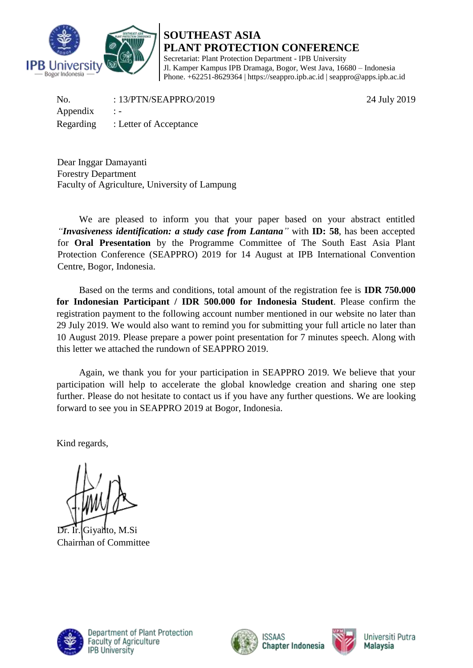

## **SOUTHEAST ASIA PLANT PROTECTION CONFERENCE** Secretariat: Plant Protection Department - IPB University Jl. Kamper Kampus IPB Dramaga, Bogor, West Java, 16680 – Indonesia Phone. +62251-8629364 | https://seappro.ipb.ac.id | seappro@apps.ipb.ac.id

No. : 13/PTN/SEAPPRO/2019 24 July 2019 Appendix : -Regarding : Letter of Acceptance

Dear Inggar Damayanti Forestry Department Faculty of Agriculture, University of Lampung

We are pleased to inform you that your paper based on your abstract entitled *"Invasiveness identification: a study case from Lantana"* with **ID: 58**, has been accepted for **Oral Presentation** by the Programme Committee of The South East Asia Plant Protection Conference (SEAPPRO) 2019 for 14 August at IPB International Convention Centre, Bogor, Indonesia.

Based on the terms and conditions, total amount of the registration fee is **IDR 750.000 for Indonesian Participant / IDR 500.000 for Indonesia Student**. Please confirm the registration payment to the following account number mentioned in our website no later than 29 July 2019. We would also want to remind you for submitting your full article no later than 10 August 2019. Please prepare a power point presentation for 7 minutes speech. Along with this letter we attached the rundown of SEAPPRO 2019.

Again, we thank you for your participation in SEAPPRO 2019. We believe that your participation will help to accelerate the global knowledge creation and sharing one step further. Please do not hesitate to contact us if you have any further questions. We are looking forward to see you in SEAPPRO 2019 at Bogor, Indonesia.

Kind regards,

Dr. Ir. Giyanto, M.Si Chairman of Committee